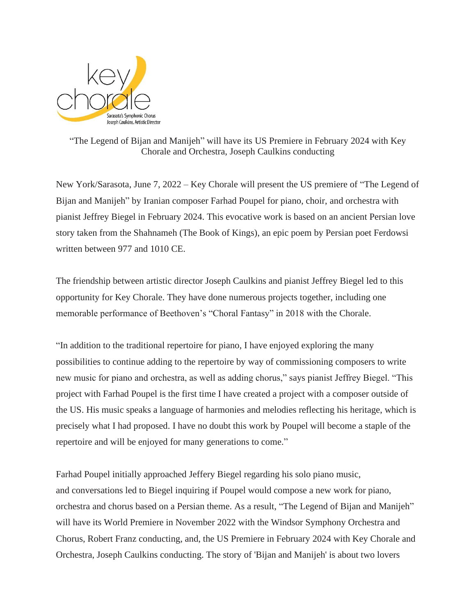

"The Legend of Bijan and Manijeh" will have its US Premiere in February 2024 with Key Chorale and Orchestra, Joseph Caulkins conducting

New York/Sarasota, June 7, 2022 – Key Chorale will present the US premiere of "The Legend of Bijan and Manijeh" by Iranian composer Farhad Poupel for piano, choir, and orchestra with pianist Jeffrey Biegel in February 2024. This evocative work is based on an ancient Persian love story taken from the Shahnameh (The Book of Kings), an epic poem by Persian poet Ferdowsi written between 977 and 1010 CE.

The friendship between artistic director Joseph Caulkins and pianist Jeffrey Biegel led to this opportunity for Key Chorale. They have done numerous projects together, including one memorable performance of Beethoven's "Choral Fantasy" in 2018 with the Chorale.

"In addition to the traditional repertoire for piano, I have enjoyed exploring the many possibilities to continue adding to the repertoire by way of commissioning composers to write new music for piano and orchestra, as well as adding chorus," says pianist Jeffrey Biegel. "This project with Farhad Poupel is the first time I have created a project with a composer outside of the US. His music speaks a language of harmonies and melodies reflecting his heritage, which is precisely what I had proposed. I have no doubt this work by Poupel will become a staple of the repertoire and will be enjoyed for many generations to come."

Farhad Poupel initially approached Jeffery Biegel regarding his solo piano music, and conversations led to Biegel inquiring if Poupel would compose a new work for piano, orchestra and chorus based on a Persian theme. As a result, "The Legend of Bijan and Manijeh" will have its World Premiere in November 2022 with the Windsor Symphony Orchestra and Chorus, Robert Franz conducting, and, the US Premiere in February 2024 with Key Chorale and Orchestra, Joseph Caulkins conducting. The story of 'Bijan and Manijeh' is about two lovers